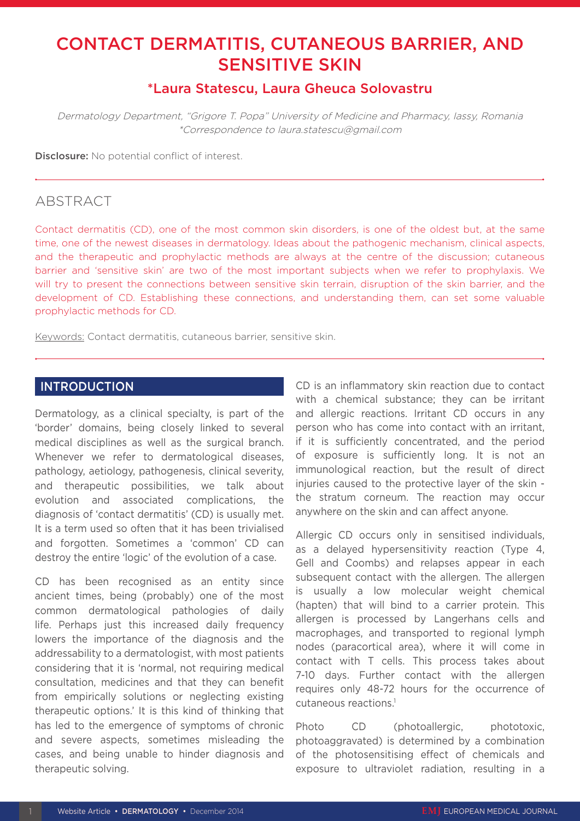# CONTACT DERMATITIS, CUTANEOUS BARRIER, AND SENSITIVE SKIN

## \*Laura Statescu, Laura Gheuca Solovastru

Dermatology Department, "Grigore T. Popa" University of Medicine and Pharmacy, Iassy, Romania \*Correspondence to laura.statescu@gmail.com

Disclosure: No potential conflict of interest.

## ABSTRACT

Contact dermatitis (CD), one of the most common skin disorders, is one of the oldest but, at the same time, one of the newest diseases in dermatology. Ideas about the pathogenic mechanism, clinical aspects, and the therapeutic and prophylactic methods are always at the centre of the discussion; cutaneous barrier and 'sensitive skin' are two of the most important subjects when we refer to prophylaxis. We will try to present the connections between sensitive skin terrain, disruption of the skin barrier, and the development of CD. Establishing these connections, and understanding them, can set some valuable prophylactic methods for CD.

Keywords: Contact dermatitis, cutaneous barrier, sensitive skin.

#### **INTRODUCTION**

Dermatology, as a clinical specialty, is part of the 'border' domains, being closely linked to several medical disciplines as well as the surgical branch. Whenever we refer to dermatological diseases, pathology, aetiology, pathogenesis, clinical severity, and therapeutic possibilities, we talk about evolution and associated complications, the diagnosis of 'contact dermatitis' (CD) is usually met. It is a term used so often that it has been trivialised and forgotten. Sometimes a 'common' CD can destroy the entire 'logic' of the evolution of a case.

CD has been recognised as an entity since ancient times, being (probably) one of the most common dermatological pathologies of daily life. Perhaps just this increased daily frequency lowers the importance of the diagnosis and the addressability to a dermatologist, with most patients considering that it is 'normal, not requiring medical consultation, medicines and that they can benefit from empirically solutions or neglecting existing therapeutic options.' It is this kind of thinking that has led to the emergence of symptoms of chronic and severe aspects, sometimes misleading the cases, and being unable to hinder diagnosis and therapeutic solving.

CD is an inflammatory skin reaction due to contact with a chemical substance; they can be irritant and allergic reactions. Irritant CD occurs in any person who has come into contact with an irritant, if it is sufficiently concentrated, and the period of exposure is sufficiently long. It is not an immunological reaction, but the result of direct injuries caused to the protective layer of the skin the stratum corneum. The reaction may occur anywhere on the skin and can affect anyone.

Allergic CD occurs only in sensitised individuals, as a delayed hypersensitivity reaction (Type 4, Gell and Coombs) and relapses appear in each subsequent contact with the allergen. The allergen is usually a low molecular weight chemical (hapten) that will bind to a carrier protein. This allergen is processed by Langerhans cells and macrophages, and transported to regional lymph nodes (paracortical area), where it will come in contact with T cells. This process takes about 7-10 days. Further contact with the allergen requires only 48-72 hours for the occurrence of cutaneous reactions.1

Photo CD (photoallergic, phototoxic, photoaggravated) is determined by a combination of the photosensitising effect of chemicals and exposure to ultraviolet radiation, resulting in a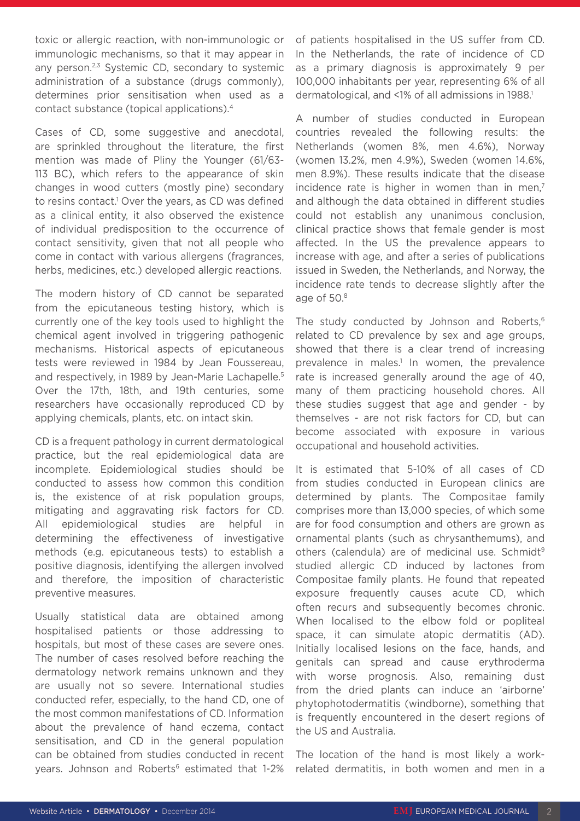toxic or allergic reaction, with non-immunologic or immunologic mechanisms, so that it may appear in any person.<sup>2,3</sup> Systemic CD, secondary to systemic administration of a substance (drugs commonly), determines prior sensitisation when used as a contact substance (topical applications).4

Cases of CD, some suggestive and anecdotal, are sprinkled throughout the literature, the first mention was made of Pliny the Younger (61/63- 113 BC), which refers to the appearance of skin changes in wood cutters (mostly pine) secondary to resins contact.<sup>1</sup> Over the years, as CD was defined as a clinical entity, it also observed the existence of individual predisposition to the occurrence of contact sensitivity, given that not all people who come in contact with various allergens (fragrances, herbs, medicines, etc.) developed allergic reactions.

The modern history of CD cannot be separated from the epicutaneous testing history, which is currently one of the key tools used to highlight the chemical agent involved in triggering pathogenic mechanisms. Historical aspects of epicutaneous tests were reviewed in 1984 by Jean Foussereau, and respectively, in 1989 by Jean-Marie Lachapelle.<sup>5</sup> Over the 17th, 18th, and 19th centuries, some researchers have occasionally reproduced CD by applying chemicals, plants, etc. on intact skin.

CD is a frequent pathology in current dermatological practice, but the real epidemiological data are incomplete. Epidemiological studies should be conducted to assess how common this condition is, the existence of at risk population groups, mitigating and aggravating risk factors for CD. All epidemiological studies are helpful in determining the effectiveness of investigative methods (e.g. epicutaneous tests) to establish a positive diagnosis, identifying the allergen involved and therefore, the imposition of characteristic preventive measures.

Usually statistical data are obtained among hospitalised patients or those addressing to hospitals, but most of these cases are severe ones. The number of cases resolved before reaching the dermatology network remains unknown and they are usually not so severe. International studies conducted refer, especially, to the hand CD, one of the most common manifestations of CD. Information about the prevalence of hand eczema, contact sensitisation, and CD in the general population can be obtained from studies conducted in recent years. Johnson and Roberts<sup>6</sup> estimated that 1-2%

of patients hospitalised in the US suffer from CD. In the Netherlands, the rate of incidence of CD as a primary diagnosis is approximately 9 per 100,000 inhabitants per year, representing 6% of all dermatological, and <1% of all admissions in 1988.<sup>1</sup>

A number of studies conducted in European countries revealed the following results: the Netherlands (women 8%, men 4.6%), Norway (women 13.2%, men 4.9%), Sweden (women 14.6%, men 8.9%). These results indicate that the disease incidence rate is higher in women than in men.<sup>7</sup> and although the data obtained in different studies could not establish any unanimous conclusion, clinical practice shows that female gender is most affected. In the US the prevalence appears to increase with age, and after a series of publications issued in Sweden, the Netherlands, and Norway, the incidence rate tends to decrease slightly after the age of 50.8

The study conducted by Johnson and Roberts,<sup>6</sup> related to CD prevalence by sex and age groups, showed that there is a clear trend of increasing prevalence in males.<sup>1</sup> In women, the prevalence rate is increased generally around the age of 40, many of them practicing household chores. All these studies suggest that age and gender - by themselves - are not risk factors for CD, but can become associated with exposure in various occupational and household activities.

It is estimated that 5-10% of all cases of CD from studies conducted in European clinics are determined by plants. The Compositae family comprises more than 13,000 species, of which some are for food consumption and others are grown as ornamental plants (such as chrysanthemums), and others (calendula) are of medicinal use. Schmidt<sup>9</sup> studied allergic CD induced by lactones from Compositae family plants. He found that repeated exposure frequently causes acute CD, which often recurs and subsequently becomes chronic. When localised to the elbow fold or popliteal space, it can simulate atopic dermatitis (AD). Initially localised lesions on the face, hands, and genitals can spread and cause erythroderma with worse prognosis. Also, remaining dust from the dried plants can induce an 'airborne' phytophotodermatitis (windborne), something that is frequently encountered in the desert regions of the US and Australia.

The location of the hand is most likely a workrelated dermatitis, in both women and men in a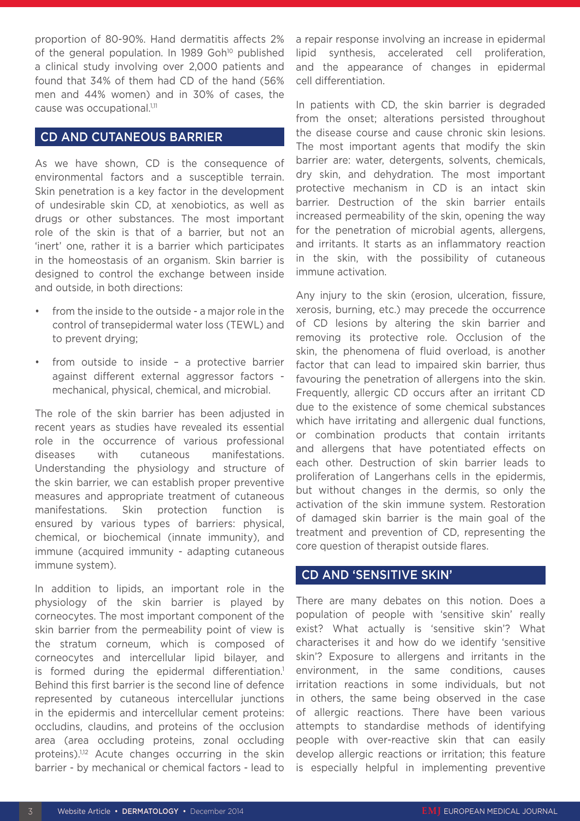proportion of 80-90%. Hand dermatitis affects 2% of the general population. In 1989 Goh<sup>10</sup> published a clinical study involving over 2,000 patients and found that 34% of them had CD of the hand (56% men and 44% women) and in 30% of cases, the cause was occupational.<sup>1,11</sup>

### CD AND CUTANEOUS BARRIER

As we have shown, CD is the consequence of environmental factors and a susceptible terrain. Skin penetration is a key factor in the development of undesirable skin CD, at xenobiotics, as well as drugs or other substances. The most important role of the skin is that of a barrier, but not an 'inert' one, rather it is a barrier which participates in the homeostasis of an organism. Skin barrier is designed to control the exchange between inside and outside, in both directions:

- from the inside to the outside a major role in the control of transepidermal water loss (TEWL) and to prevent drying;
- from outside to inside  $-$  a protective barrier against different external aggressor factors mechanical, physical, chemical, and microbial.

The role of the skin barrier has been adjusted in recent years as studies have revealed its essential role in the occurrence of various professional diseases with cutaneous manifestations. Understanding the physiology and structure of the skin barrier, we can establish proper preventive measures and appropriate treatment of cutaneous manifestations. Skin protection function is ensured by various types of barriers: physical, chemical, or biochemical (innate immunity), and immune (acquired immunity - adapting cutaneous immune system).

In addition to lipids, an important role in the physiology of the skin barrier is played by corneocytes. The most important component of the skin barrier from the permeability point of view is the stratum corneum, which is composed of corneocytes and intercellular lipid bilayer, and is formed during the epidermal differentiation.<sup>1</sup> Behind this first barrier is the second line of defence represented by cutaneous intercellular junctions in the epidermis and intercellular cement proteins: occludins, claudins, and proteins of the occlusion area (area occluding proteins, zonal occluding proteins).<sup>1,12</sup> Acute changes occurring in the skin barrier - by mechanical or chemical factors - lead to

a repair response involving an increase in epidermal lipid synthesis, accelerated cell proliferation, and the appearance of changes in epidermal cell differentiation.

In patients with CD, the skin barrier is degraded from the onset; alterations persisted throughout the disease course and cause chronic skin lesions. The most important agents that modify the skin barrier are: water, detergents, solvents, chemicals, dry skin, and dehydration. The most important protective mechanism in CD is an intact skin barrier. Destruction of the skin barrier entails increased permeability of the skin, opening the way for the penetration of microbial agents, allergens, and irritants. It starts as an inflammatory reaction in the skin, with the possibility of cutaneous immune activation.

Any injury to the skin (erosion, ulceration, fissure, xerosis, burning, etc.) may precede the occurrence of CD lesions by altering the skin barrier and removing its protective role. Occlusion of the skin, the phenomena of fluid overload, is another factor that can lead to impaired skin barrier, thus favouring the penetration of allergens into the skin. Frequently, allergic CD occurs after an irritant CD due to the existence of some chemical substances which have irritating and allergenic dual functions, or combination products that contain irritants and allergens that have potentiated effects on each other. Destruction of skin barrier leads to proliferation of Langerhans cells in the epidermis, but without changes in the dermis, so only the activation of the skin immune system. Restoration of damaged skin barrier is the main goal of the treatment and prevention of CD, representing the core question of therapist outside flares.

### CD AND 'SENSITIVE SKIN'

There are many debates on this notion. Does a population of people with 'sensitive skin' really exist? What actually is 'sensitive skin'? What characterises it and how do we identify 'sensitive skin'? Exposure to allergens and irritants in the environment, in the same conditions, causes irritation reactions in some individuals, but not in others, the same being observed in the case of allergic reactions. There have been various attempts to standardise methods of identifying people with over-reactive skin that can easily develop allergic reactions or irritation; this feature is especially helpful in implementing preventive